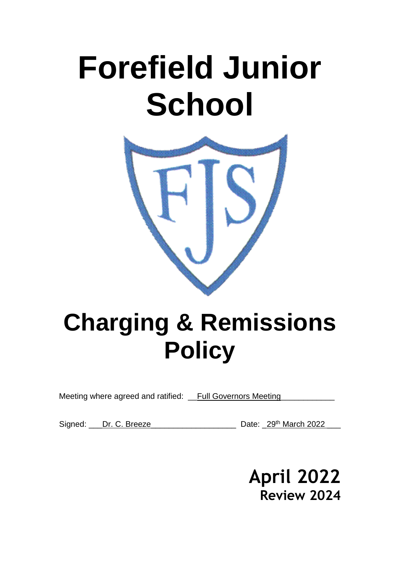# **Forefield Junior School**



# **Charging & Remissions Policy**

Meeting where agreed and ratified: \_\_Full Governors Meeting

Signed: Dr. C. Breeze Date: 29th March 2022

**April 2022 Review 2024**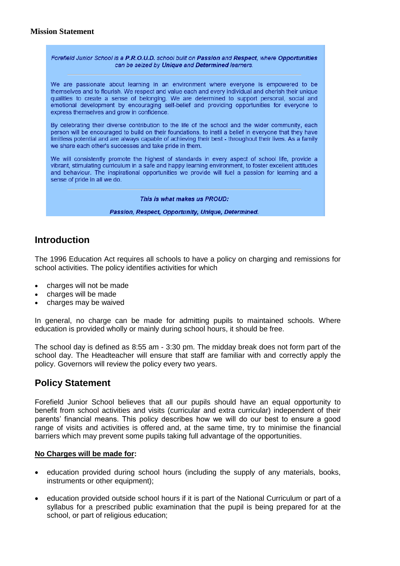#### **Mission Statement**

Forefield Junior School is a P.R.O.U.D. school built on Passion and Respect, where Opportunities can be seized by Unique and Determined learners.

We are passionate about learning in an environment where everyone is empowered to be themselves and to flourish. We respect and value each and every individual and cherish their unique qualities to create a sense of belonging. We are determined to support personal, social and emotional development by encouraging self-belief and providing opportunities for everyone to express themselves and grow in confidence.

By celebrating their diverse contribution to the life of the school and the wider community, each person will be encouraged to build on their foundations, to instil a belief in everyone that they have limitless potential and are always capable of achieving their best - throughout their lives. As a family we share each other's successes and take pride in them.

We will consistently promote the highest of standards in every aspect of school life, provide a vibrant, stimulating curriculum in a safe and happy learning environment, to foster excellent attitudes and behaviour. The inspirational opportunities we provide will fuel a passion for learning and a sense of pride in all we do.

This is what makes us PROUD:

Passion, Respect, Opportunity, Unique, Determined.

# **Introduction**

The 1996 Education Act requires all schools to have a policy on charging and remissions for school activities. The policy identifies activities for which

- charges will not be made
- charges will be made
- charges may be waived

In general, no charge can be made for admitting pupils to maintained schools. Where education is provided wholly or mainly during school hours, it should be free.

The school day is defined as 8:55 am - 3:30 pm. The midday break does not form part of the school day. The Headteacher will ensure that staff are familiar with and correctly apply the policy. Governors will review the policy every two years.

# **Policy Statement**

Forefield Junior School believes that all our pupils should have an equal opportunity to benefit from school activities and visits (curricular and extra curricular) independent of their parents' financial means. This policy describes how we will do our best to ensure a good range of visits and activities is offered and, at the same time, try to minimise the financial barriers which may prevent some pupils taking full advantage of the opportunities.

#### **No Charges will be made for:**

- education provided during school hours (including the supply of any materials, books, instruments or other equipment):
- education provided outside school hours if it is part of the National Curriculum or part of a syllabus for a prescribed public examination that the pupil is being prepared for at the school, or part of religious education;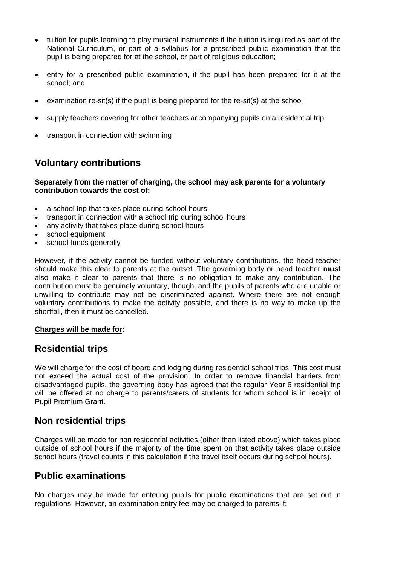- tuition for pupils learning to play musical instruments if the tuition is required as part of the National Curriculum, or part of a syllabus for a prescribed public examination that the pupil is being prepared for at the school, or part of religious education;
- entry for a prescribed public examination, if the pupil has been prepared for it at the school; and
- examination re-sit(s) if the pupil is being prepared for the re-sit(s) at the school
- supply teachers covering for other teachers accompanying pupils on a residential trip
- transport in connection with swimming

# **Voluntary contributions**

#### **Separately from the matter of charging, the school may ask parents for a voluntary contribution towards the cost of:**

- a school trip that takes place during school hours
- transport in connection with a school trip during school hours
- any activity that takes place during school hours
- school equipment
- school funds generally

However, if the activity cannot be funded without voluntary contributions, the head teacher should make this clear to parents at the outset. The governing body or head teacher **must**  also make it clear to parents that there is no obligation to make any contribution. The contribution must be genuinely voluntary, though, and the pupils of parents who are unable or unwilling to contribute may not be discriminated against. Where there are not enough voluntary contributions to make the activity possible, and there is no way to make up the shortfall, then it must be cancelled.

#### **Charges will be made for:**

# **Residential trips**

We will charge for the cost of board and lodging during residential school trips. This cost must not exceed the actual cost of the provision. In order to remove financial barriers from disadvantaged pupils, the governing body has agreed that the regular Year 6 residential trip will be offered at no charge to parents/carers of students for whom school is in receipt of Pupil Premium Grant.

# **Non residential trips**

Charges will be made for non residential activities (other than listed above) which takes place outside of school hours if the majority of the time spent on that activity takes place outside school hours (travel counts in this calculation if the travel itself occurs during school hours).

# **Public examinations**

No charges may be made for entering pupils for public examinations that are set out in regulations. However, an examination entry fee may be charged to parents if: